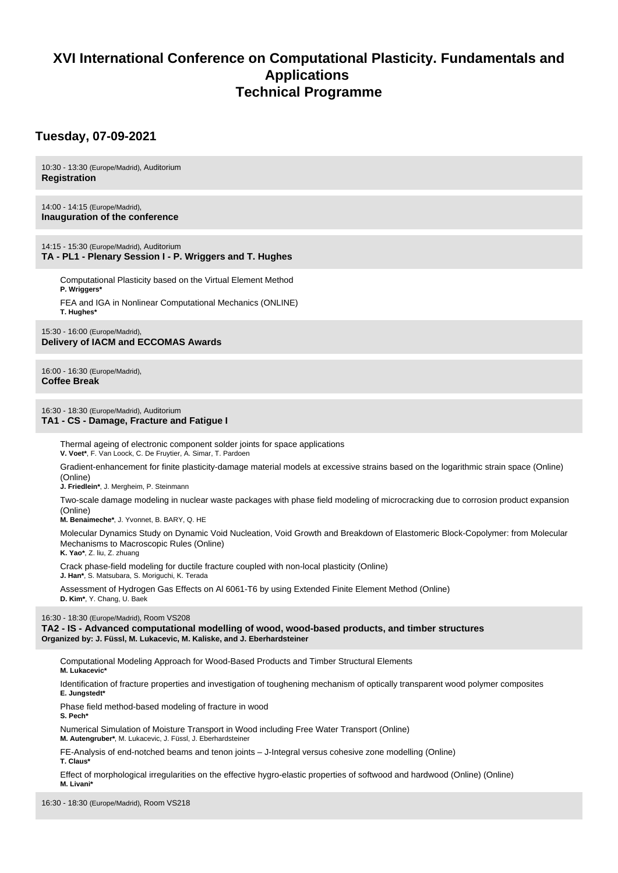# **XVI International Conference on Computational Plasticity. Fundamentals and Applications Technical Programme**

# **Tuesday, 07-09-2021**

10:30 - 13:30 (Europe/Madrid), Auditorium **Registration**

14:00 - 14:15 (Europe/Madrid), **Inauguration of the conference**

14:15 - 15:30 (Europe/Madrid), Auditorium **TA - PL1 - Plenary Session I - P. Wriggers and T. Hughes**

Computational Plasticity based on the Virtual Element Method **P. Wriggers\***

FEA and IGA in Nonlinear Computational Mechanics (ONLINE) **T. Hughes\***

15:30 - 16:00 (Europe/Madrid), **Delivery of IACM and ECCOMAS Awards**

16:00 - 16:30 (Europe/Madrid), **Coffee Break**

## 16:30 - 18:30 (Europe/Madrid), Auditorium **TA1 - CS - Damage, Fracture and Fatigue I**

Thermal ageing of electronic component solder joints for space applications **V. Voet\***, F. Van Loock, C. De Fruytier, A. Simar, T. Pardoen

Gradient-enhancement for finite plasticity-damage material models at excessive strains based on the logarithmic strain space (Online) (Online)

**J. Friedlein\***, J. Mergheim, P. Steinmann

Two-scale damage modeling in nuclear waste packages with phase field modeling of microcracking due to corrosion product expansion (Online)

**M. Benaimeche\***, J. Yvonnet, B. BARY, Q. HE

Molecular Dynamics Study on Dynamic Void Nucleation, Void Growth and Breakdown of Elastomeric Block-Copolymer: from Molecular Mechanisms to Macroscopic Rules (Online) **K. Yao\***, Z. liu, Z. zhuang

Crack phase-field modeling for ductile fracture coupled with non-local plasticity (Online)

**J. Han\***, S. Matsubara, S. Moriguchi, K. Terada

Assessment of Hydrogen Gas Effects on Al 6061-T6 by using Extended Finite Element Method (Online) **D. Kim\***, Y. Chang, U. Baek

16:30 - 18:30 (Europe/Madrid), Room VS208

**TA2 - IS - Advanced computational modelling of wood, wood-based products, and timber structures Organized by: J. Füssl, M. Lukacevic, M. Kaliske, and J. Eberhardsteiner**

Computational Modeling Approach for Wood-Based Products and Timber Structural Elements

**M. Lukacevic\***

Identification of fracture properties and investigation of toughening mechanism of optically transparent wood polymer composites **E. Jungstedt\***

Phase field method-based modeling of fracture in wood **S. Pech\***

Numerical Simulation of Moisture Transport in Wood including Free Water Transport (Online) **M. Autengruber\***, M. Lukacevic, J. Füssl, J. Eberhardsteiner

FE-Analysis of end-notched beams and tenon joints – J-Integral versus cohesive zone modelling (Online) **T. Claus\***

Effect of morphological irregularities on the effective hygro-elastic properties of softwood and hardwood (Online) (Online) **M. Livani\***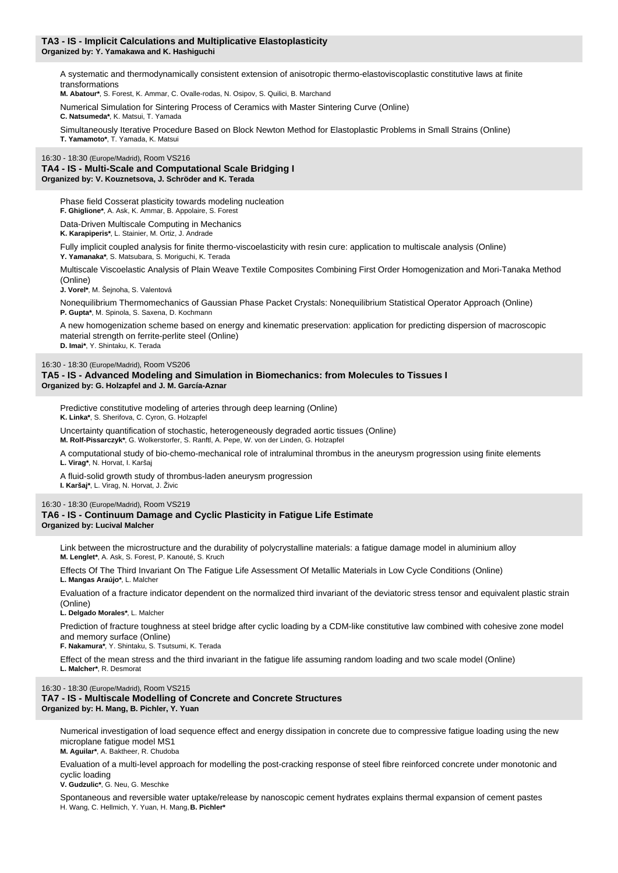#### **TA3 - IS - Implicit Calculations and Multiplicative Elastoplasticity Organized by: Y. Yamakawa and K. Hashiguchi**

A systematic and thermodynamically consistent extension of anisotropic thermo-elastoviscoplastic constitutive laws at finite transformations

**M. Abatour\***, S. Forest, K. Ammar, C. Ovalle-rodas, N. Osipov, S. Quilici, B. Marchand

Numerical Simulation for Sintering Process of Ceramics with Master Sintering Curve (Online) **C. Natsumeda\***, K. Matsui, T. Yamada

Simultaneously Iterative Procedure Based on Block Newton Method for Elastoplastic Problems in Small Strains (Online) **T. Yamamoto\***, T. Yamada, K. Matsui

#### 16:30 - 18:30 (Europe/Madrid), Room VS216 **TA4 - IS - Multi-Scale and Computational Scale Bridging I Organized by: V. Kouznetsova, J. Schröder and K. Terada**

Phase field Cosserat plasticity towards modeling nucleation **F. Ghiglione\***, A. Ask, K. Ammar, B. Appolaire, S. Forest Data-Driven Multiscale Computing in Mechanics

**K. Karapiperis\***, L. Stainier, M. Ortiz, J. Andrade

Fully implicit coupled analysis for finite thermo-viscoelasticity with resin cure: application to multiscale analysis (Online) **Y. Yamanaka\***, S. Matsubara, S. Moriguchi, K. Terada

Multiscale Viscoelastic Analysis of Plain Weave Textile Composites Combining First Order Homogenization and Mori-Tanaka Method (Online)

**J. Vorel\***, M. Šejnoha, S. Valentová

Nonequilibrium Thermomechanics of Gaussian Phase Packet Crystals: Nonequilibrium Statistical Operator Approach (Online) **P. Gupta\***, M. Spinola, S. Saxena, D. Kochmann

A new homogenization scheme based on energy and kinematic preservation: application for predicting dispersion of macroscopic material strength on ferrite-perlite steel (Online) **D. Imai\***, Y. Shintaku, K. Terada

16:30 - 18:30 (Europe/Madrid), Room VS206

**TA5 - IS - Advanced Modeling and Simulation in Biomechanics: from Molecules to Tissues I Organized by: G. Holzapfel and J. M. García-Aznar**

Predictive constitutive modeling of arteries through deep learning (Online) **K. Linka\***, S. Sherifova, C. Cyron, G. Holzapfel

Uncertainty quantification of stochastic, heterogeneously degraded aortic tissues (Online) **M. Rolf-Pissarczyk\***, G. Wolkerstorfer, S. Ranftl, A. Pepe, W. von der Linden, G. Holzapfel

A computational study of bio-chemo-mechanical role of intraluminal thrombus in the aneurysm progression using finite elements **L. Virag\***, N. Horvat, I. Karšaj

A fluid-solid growth study of thrombus-laden aneurysm progression

**I. Karšaj\***, L. Virag, N. Horvat, J. Živic

## 16:30 - 18:30 (Europe/Madrid), Room VS219

#### **TA6 - IS - Continuum Damage and Cyclic Plasticity in Fatigue Life Estimate Organized by: Lucival Malcher**

Link between the microstructure and the durability of polycrystalline materials: a fatigue damage model in aluminium alloy **M. Lenglet\***, A. Ask, S. Forest, P. Kanouté, S. Kruch

Effects Of The Third Invariant On The Fatigue Life Assessment Of Metallic Materials in Low Cycle Conditions (Online) **L. Mangas Araújo\***, L. Malcher

Evaluation of a fracture indicator dependent on the normalized third invariant of the deviatoric stress tensor and equivalent plastic strain (Online)

**L. Delgado Morales\***, L. Malcher

Prediction of fracture toughness at steel bridge after cyclic loading by a CDM-like constitutive law combined with cohesive zone model and memory surface (Online)

**F. Nakamura\***, Y. Shintaku, S. Tsutsumi, K. Terada

Effect of the mean stress and the third invariant in the fatigue life assuming random loading and two scale model (Online) **L. Malcher\***, R. Desmorat

## 16:30 - 18:30 (Europe/Madrid), Room VS215 **TA7 - IS - Multiscale Modelling of Concrete and Concrete Structures Organized by: H. Mang, B. Pichler, Y. Yuan**

Numerical investigation of load sequence effect and energy dissipation in concrete due to compressive fatigue loading using the new microplane fatigue model MS1

**M. Aguilar\***, A. Baktheer, R. Chudoba

Evaluation of a multi-level approach for modelling the post-cracking response of steel fibre reinforced concrete under monotonic and cyclic loading

**V. Gudzulic\***, G. Neu, G. Meschke

Spontaneous and reversible water uptake/release by nanoscopic cement hydrates explains thermal expansion of cement pastes H. Wang, C. Hellmich, Y. Yuan, H. Mang, **B. Pichler\***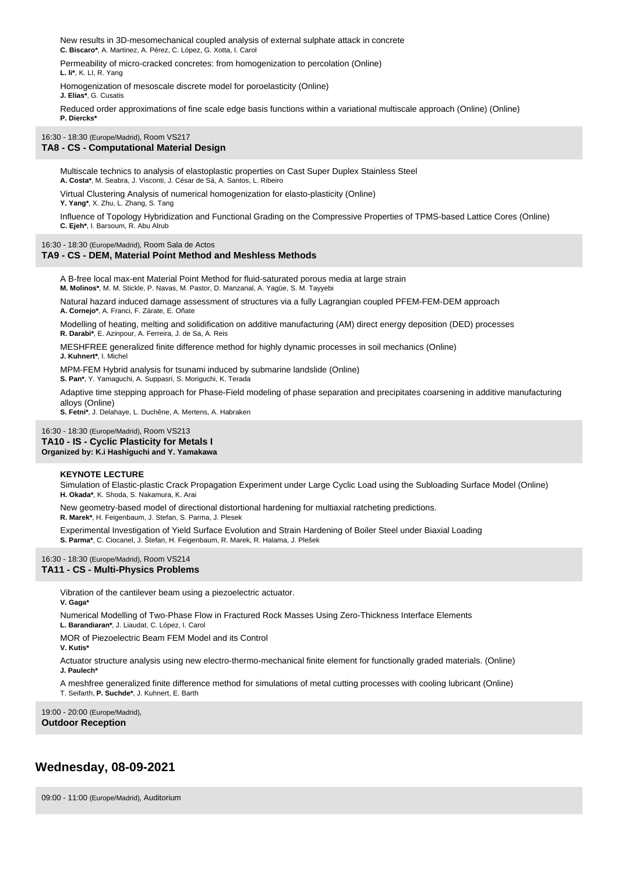New results in 3D-mesomechanical coupled analysis of external sulphate attack in concrete **C. Biscaro\***, A. Martinez, A. Pérez, C. López, G. Xotta, I. Carol

Permeability of micro-cracked concretes: from homogenization to percolation (Online) **L. li\***, K. LI, R. Yang

Homogenization of mesoscale discrete model for poroelasticity (Online) **J. Elias\***, G. Cusatis

Reduced order approximations of fine scale edge basis functions within a variational multiscale approach (Online) (Online) **P. Diercks\***

#### 16:30 - 18:30 (Europe/Madrid), Room VS217

## **TA8 - CS - Computational Material Design**

Multiscale technics to analysis of elastoplastic properties on Cast Super Duplex Stainless Steel **A. Costa\***, M. Seabra, J. Visconti, J. César de Sá, A. Santos, L. Ribeiro

Virtual Clustering Analysis of numerical homogenization for elasto-plasticity (Online)

**Y. Yang\***, X. Zhu, L. Zhang, S. Tang

Influence of Topology Hybridization and Functional Grading on the Compressive Properties of TPMS-based Lattice Cores (Online) **C. Ejeh\***, I. Barsoum, R. Abu Alrub

16:30 - 18:30 (Europe/Madrid), Room Sala de Actos

## **TA9 - CS - DEM, Material Point Method and Meshless Methods**

A B-free local max-ent Material Point Method for fluid-saturated porous media at large strain **M. Molinos\***, M. M. Stickle, P. Navas, M. Pastor, D. Manzanal, A. Yagüe, S. M. Tayyebi

Natural hazard induced damage assessment of structures via a fully Lagrangian coupled PFEM-FEM-DEM approach **A. Cornejo\***, A. Franci, F. Zárate, E. Oñate

Modelling of heating, melting and solidification on additive manufacturing (AM) direct energy deposition (DED) processes **R. Darabi\***, E. Azinpour, A. Ferreira, J. de Sa, A. Reis

MESHFREE generalized finite difference method for highly dynamic processes in soil mechanics (Online)

**J. Kuhnert\***, I. Michel MPM-FEM Hybrid analysis for tsunami induced by submarine landslide (Online)

**S. Pan\***, Y. Yamaguchi, A. Suppasri, S. Moriguchi, K. Terada

Adaptive time stepping approach for Phase-Field modeling of phase separation and precipitates coarsening in additive manufacturing alloys (Online)

**S. Fetni\***, J. Delahaye, L. Duchêne, A. Mertens, A. Habraken

16:30 - 18:30 (Europe/Madrid), Room VS213 **TA10 - IS - Cyclic Plasticity for Metals I Organized by: K.i Hashiguchi and Y. Yamakawa**

#### **KEYNOTE LECTURE**

Simulation of Elastic-plastic Crack Propagation Experiment under Large Cyclic Load using the Subloading Surface Model (Online) **H. Okada\***, K. Shoda, S. Nakamura, K. Arai

New geometry-based model of directional distortional hardening for multiaxial ratcheting predictions. **R. Marek\***, H. Feigenbaum, J. Stefan, S. Parma, J. Plesek

Experimental Investigation of Yield Surface Evolution and Strain Hardening of Boiler Steel under Biaxial Loading **S. Parma\***, C. Ciocanel, J. Štefan, H. Feigenbaum, R. Marek, R. Halama, J. Plešek

16:30 - 18:30 (Europe/Madrid), Room VS214 **TA11 - CS - Multi-Physics Problems**

> Vibration of the cantilever beam using a piezoelectric actuator. **V. Gaga\***

Numerical Modelling of Two-Phase Flow in Fractured Rock Masses Using Zero-Thickness Interface Elements

**L. Barandiaran\***, J. Liaudat, C. López, I. Carol

MOR of Piezoelectric Beam FEM Model and its Control

**V. Kutis\***

Actuator structure analysis using new electro-thermo-mechanical finite element for functionally graded materials. (Online) **J. Paulech\***

A meshfree generalized finite difference method for simulations of metal cutting processes with cooling lubricant (Online) T. Seifarth, **P. Suchde\***, J. Kuhnert, E. Barth

19:00 - 20:00 (Europe/Madrid), **Outdoor Reception**

# **Wednesday, 08-09-2021**

09:00 - 11:00 (Europe/Madrid), Auditorium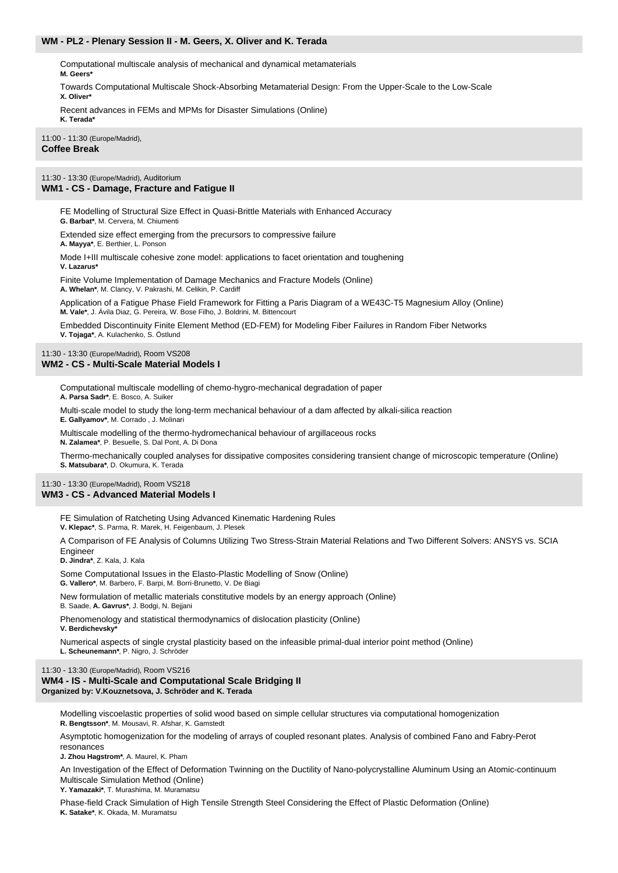## **WM - PL2 - Plenary Session II - M. Geers, X. Oliver and K. Terada**

Computational multiscale analysis of mechanical and dynamical metamaterials **M. Geers\***

Towards Computational Multiscale Shock-Absorbing Metamaterial Design: From the Upper-Scale to the Low-Scale **X. Oliver\***

Recent advances in FEMs and MPMs for Disaster Simulations (Online) **K. Terada\***

#### 11:00 - 11:30 (Europe/Madrid), **Coffee Break**

11:30 - 13:30 (Europe/Madrid), Auditorium

## **WM1 - CS - Damage, Fracture and Fatigue II**

FE Modelling of Structural Size Effect in Quasi-Brittle Materials with Enhanced Accuracy

**G. Barbat\***, M. Cervera, M. Chiumenti

Extended size effect emerging from the precursors to compressive failure

**A. Mayya\***, E. Berthier, L. Ponson

Mode I+III multiscale cohesive zone model: applications to facet orientation and toughening

**V. Lazarus\***

Finite Volume Implementation of Damage Mechanics and Fracture Models (Online) **A. Whelan\***, M. Clancy, V. Pakrashi, M. Celikin, P. Cardiff

Application of a Fatigue Phase Field Framework for Fitting a Paris Diagram of a WE43C-T5 Magnesium Alloy (Online) **M. Vale\***, J. Ávila Diaz, G. Pereira, W. Bose Filho, J. Boldrini, M. Bittencourt

Embedded Discontinuity Finite Element Method (ED-FEM) for Modeling Fiber Failures in Random Fiber Networks **V. Tojaga\***, A. Kulachenko, S. Östlund

#### 11:30 - 13:30 (Europe/Madrid), Room VS208 **WM2 - CS - Multi-Scale Material Models I**

Computational multiscale modelling of chemo-hygro-mechanical degradation of paper **A. Parsa Sadr\***, E. Bosco, A. Suiker

Multi-scale model to study the long-term mechanical behaviour of a dam affected by alkali-silica reaction **E. Gallyamov\***, M. Corrado , J. Molinari

Multiscale modelling of the thermo-hydromechanical behaviour of argillaceous rocks **N. Zalamea\***, P. Besuelle, S. Dal Pont, A. Di Dona

Thermo-mechanically coupled analyses for dissipative composites considering transient change of microscopic temperature (Online) **S. Matsubara\***, D. Okumura, K. Terada

#### 11:30 - 13:30 (Europe/Madrid), Room VS218 **WM3 - CS - Advanced Material Models I**

FE Simulation of Ratcheting Using Advanced Kinematic Hardening Rules **V. Klepac\***, S. Parma, R. Marek, H. Feigenbaum, J. Plesek

A Comparison of FE Analysis of Columns Utilizing Two Stress-Strain Material Relations and Two Different Solvers: ANSYS vs. SCIA

**Engineer D. Jindra\***, Z. Kala, J. Kala

Some Computational Issues in the Elasto-Plastic Modelling of Snow (Online) **G. Vallero\***, M. Barbero, F. Barpi, M. Borri-Brunetto, V. De Biagi

New formulation of metallic materials constitutive models by an energy approach (Online) B. Saade, **A. Gavrus\***, J. Bodgi, N. Bejjani

Phenomenology and statistical thermodynamics of dislocation plasticity (Online) **V. Berdichevsky\***

Numerical aspects of single crystal plasticity based on the infeasible primal-dual interior point method (Online) **L. Scheunemann\***, P. Nigro, J. Schröder

#### 11:30 - 13:30 (Europe/Madrid), Room VS216 **WM4 - IS - Multi-Scale and Computational Scale Bridging II Organized by: V.Kouznetsova, J. Schröder and K. Terada**

Modelling viscoelastic properties of solid wood based on simple cellular structures via computational homogenization **R. Bengtsson\***, M. Mousavi, R. Afshar, K. Gamstedt

Asymptotic homogenization for the modeling of arrays of coupled resonant plates. Analysis of combined Fano and Fabry-Perot resonances

**J. Zhou Hagstrom\***, A. Maurel, K. Pham

An Investigation of the Effect of Deformation Twinning on the Ductility of Nano-polycrystalline Aluminum Using an Atomic-continuum Multiscale Simulation Method (Online)

**Y. Yamazaki\***, T. Murashima, M. Muramatsu

Phase-field Crack Simulation of High Tensile Strength Steel Considering the Effect of Plastic Deformation (Online) **K. Satake\***, K. Okada, M. Muramatsu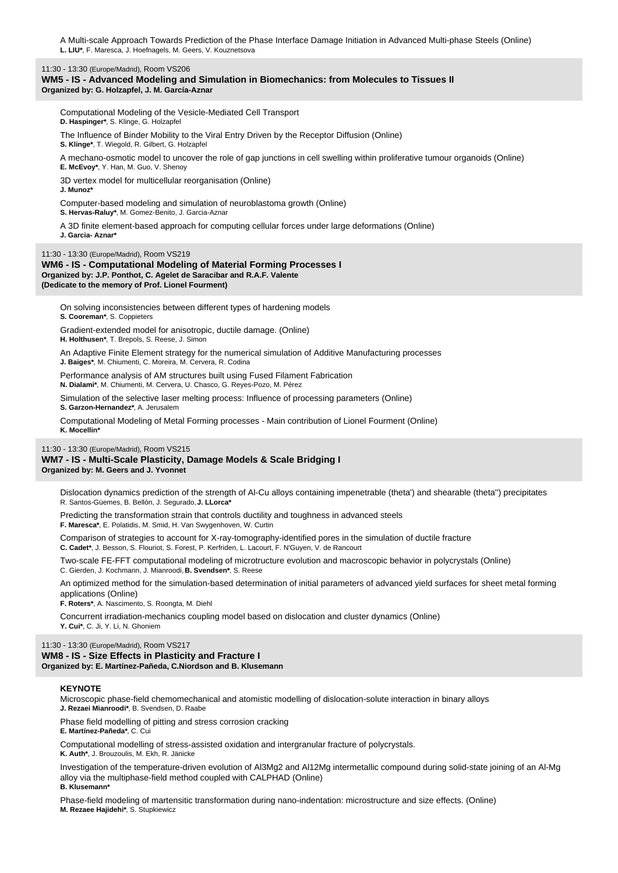A Multi-scale Approach Towards Prediction of the Phase Interface Damage Initiation in Advanced Multi-phase Steels (Online) **L. LIU\***, F. Maresca, J. Hoefnagels, M. Geers, V. Kouznetsova

11:30 - 13:30 (Europe/Madrid), Room VS206

**WM5 - IS - Advanced Modeling and Simulation in Biomechanics: from Molecules to Tissues II Organized by: G. Holzapfel, J. M. García-Aznar**

Computational Modeling of the Vesicle-Mediated Cell Transport **D. Haspinger\***, S. Klinge, G. Holzapfel

The Influence of Binder Mobility to the Viral Entry Driven by the Receptor Diffusion (Online) **S. Klinge\***, T. Wiegold, R. Gilbert, G. Holzapfel

A mechano-osmotic model to uncover the role of gap junctions in cell swelling within proliferative tumour organoids (Online) **E. McEvoy\***, Y. Han, M. Guo, V. Shenoy

3D vertex model for multicellular reorganisation (Online)

**J. Munoz\***

Computer-based modeling and simulation of neuroblastoma growth (Online)

**S. Hervas-Raluy\***, M. Gomez-Benito, J. Garcia-Aznar

A 3D finite element-based approach for computing cellular forces under large deformations (Online) **J. Garcia- Aznar\***

11:30 - 13:30 (Europe/Madrid), Room VS219

**WM6 - IS - Computational Modeling of Material Forming Processes I Organized by: J.P. Ponthot, C. Agelet de Saracibar and R.A.F. Valente (Dedicate to the memory of Prof. Lionel Fourment)**

On solving inconsistencies between different types of hardening models **S. Cooreman\***, S. Coppieters

Gradient-extended model for anisotropic, ductile damage. (Online)

**H. Holthusen\***, T. Brepols, S. Reese, J. Simon

An Adaptive Finite Element strategy for the numerical simulation of Additive Manufacturing processes **J. Baiges\***, M. Chiumenti, C. Moreira, M. Cervera, R. Codina

Performance analysis of AM structures built using Fused Filament Fabrication **N. Dialami\***, M. Chiumenti, M. Cervera, U. Chasco, G. Reyes-Pozo, M. Pérez

Simulation of the selective laser melting process: Influence of processing parameters (Online) **S. Garzon-Hernandez\***, A. Jerusalem

Computational Modeling of Metal Forming processes - Main contribution of Lionel Fourment (Online) **K. Mocellin\***

#### 11:30 - 13:30 (Europe/Madrid), Room VS215 **WM7 - IS - Multi-Scale Plasticity, Damage Models & Scale Bridging I Organized by: M. Geers and J. Yvonnet**

Dislocation dynamics prediction of the strength of Al-Cu alloys containing impenetrable (theta') and shearable (theta'') precipitates R. Santos-Güemes, B. Bellón, J. Segurado, **J. LLorca\***

Predicting the transformation strain that controls ductility and toughness in advanced steels **F. Maresca\***, E. Polatidis, M. Smid, H. Van Swygenhoven, W. Curtin

Comparison of strategies to account for X-ray-tomography-identified pores in the simulation of ductile fracture **C. Cadet\***, J. Besson, S. Flouriot, S. Forest, P. Kerfriden, L. Lacourt, F. N'Guyen, V. de Rancourt

Two-scale FE-FFT computational modeling of microtructure evolution and macroscopic behavior in polycrystals (Online) C. Gierden, J. Kochmann, J. Mianroodi, **B. Svendsen\***, S. Reese

An optimized method for the simulation-based determination of initial parameters of advanced yield surfaces for sheet metal forming applications (Online)

**F. Roters\***, A. Nascimento, S. Roongta, M. Diehl

Concurrent irradiation-mechanics coupling model based on dislocation and cluster dynamics (Online) **Y. Cui\***, C. Ji, Y. Li, N. Ghoniem

#### 11:30 - 13:30 (Europe/Madrid), Room VS217 **WM8 - IS - Size Effects in Plasticity and Fracture I**

**Organized by: E. Martínez-Pañeda, C.Niordson and B. Klusemann**

## **KEYNOTE**

Microscopic phase-field chemomechanical and atomistic modelling of dislocation-solute interaction in binary alloys **J. Rezaei Mianroodi\***, B. Svendsen, D. Raabe

Phase field modelling of pitting and stress corrosion cracking

**E. Martínez-Pañeda\***, C. Cui

Computational modelling of stress-assisted oxidation and intergranular fracture of polycrystals.

**K. Auth\***, J. Brouzoulis, M. Ekh, R. Jänicke

Investigation of the temperature-driven evolution of Al3Mg2 and Al12Mg intermetallic compound during solid-state joining of an Al-Mg alloy via the multiphase-field method coupled with CALPHAD (Online) **B. Klusemann\***

Phase-field modeling of martensitic transformation during nano-indentation: microstructure and size effects. (Online) **M. Rezaee Hajidehi\***, S. Stupkiewicz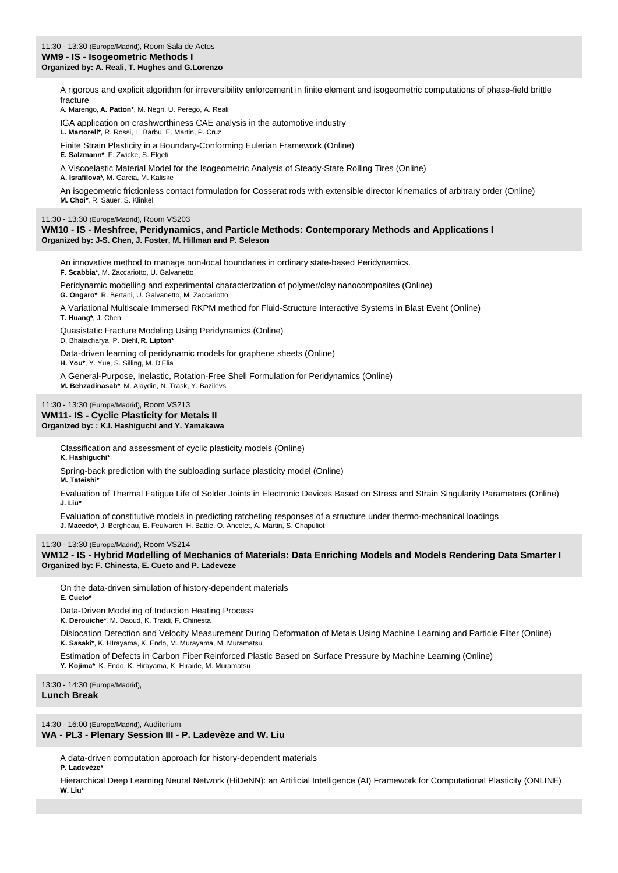A rigorous and explicit algorithm for irreversibility enforcement in finite element and isogeometric computations of phase-field brittle fracture

A. Marengo, **A. Patton\***, M. Negri, U. Perego, A. Reali

IGA application on crashworthiness CAE analysis in the automotive industry **L. Martorell\***, R. Rossi, L. Barbu, E. Martin, P. Cruz

Finite Strain Plasticity in a Boundary-Conforming Eulerian Framework (Online)

**E. Salzmann\***, F. Zwicke, S. Elgeti

A Viscoelastic Material Model for the Isogeometric Analysis of Steady-State Rolling Tires (Online)

**A. Israfilova\***, M. Garcia, M. Kaliske

An isogeometric frictionless contact formulation for Cosserat rods with extensible director kinematics of arbitrary order (Online) **M. Choi\***, R. Sauer, S. Klinkel

11:30 - 13:30 (Europe/Madrid), Room VS203

**WM10 - IS - Meshfree, Peridynamics, and Particle Methods: Contemporary Methods and Applications I Organized by: J-S. Chen, J. Foster, M. Hillman and P. Seleson**

An innovative method to manage non-local boundaries in ordinary state-based Peridynamics. **F. Scabbia\***, M. Zaccariotto, U. Galvanetto

Peridynamic modelling and experimental characterization of polymer/clay nanocomposites (Online)

**G. Ongaro\***, R. Bertani, U. Galvanetto, M. Zaccariotto

A Variational Multiscale Immersed RKPM method for Fluid-Structure Interactive Systems in Blast Event (Online)

**T. Huang\***, J. Chen

Quasistatic Fracture Modeling Using Peridynamics (Online) D. Bhatacharya, P. Diehl, **R. Lipton\***

Data-driven learning of peridynamic models for graphene sheets (Online) **H. You\***, Y. Yue, S. Silling, M. D'Elia

A General-Purpose, Inelastic, Rotation-Free Shell Formulation for Peridynamics (Online) **M. Behzadinasab\***, M. Alaydin, N. Trask, Y. Bazilevs

## 11:30 - 13:30 (Europe/Madrid), Room VS213 **WM11- IS - Cyclic Plasticity for Metals II Organized by: : K.I. Hashiguchi and Y. Yamakawa**

Classification and assessment of cyclic plasticity models (Online) **K. Hashiguchi\***

Spring-back prediction with the subloading surface plasticity model (Online)

**M. Tateishi\***

Evaluation of Thermal Fatigue Life of Solder Joints in Electronic Devices Based on Stress and Strain Singularity Parameters (Online) **J. Liu\***

Evaluation of constitutive models in predicting ratcheting responses of a structure under thermo-mechanical loadings **J. Macedo\***, J. Bergheau, E. Feulvarch, H. Battie, O. Ancelet, A. Martin, S. Chapuliot

11:30 - 13:30 (Europe/Madrid), Room VS214

**WM12 - IS - Hybrid Modelling of Mechanics of Materials: Data Enriching Models and Models Rendering Data Smarter I Organized by: F. Chinesta, E. Cueto and P. Ladeveze**

On the data-driven simulation of history-dependent materials **E. Cueto\***

Data-Driven Modeling of Induction Heating Process

**K. Derouiche\***, M. Daoud, K. Traidi, F. Chinesta

Dislocation Detection and Velocity Measurement During Deformation of Metals Using Machine Learning and Particle Filter (Online) **K. Sasaki\***, K. HIrayama, K. Endo, M. Murayama, M. Muramatsu

Estimation of Defects in Carbon Fiber Reinforced Plastic Based on Surface Pressure by Machine Learning (Online)

**Y. Kojima\***, K. Endo, K. Hirayama, K. Hiraide, M. Muramatsu

13:30 - 14:30 (Europe/Madrid), **Lunch Break**

14:30 - 16:00 (Europe/Madrid), Auditorium

**WA - PL3 - Plenary Session III - P. Ladevèze and W. Liu**

A data-driven computation approach for history-dependent materials

**P. Ladevèze\***

Hierarchical Deep Learning Neural Network (HiDeNN): an Artificial Intelligence (AI) Framework for Computational Plasticity (ONLINE) **W. Liu\***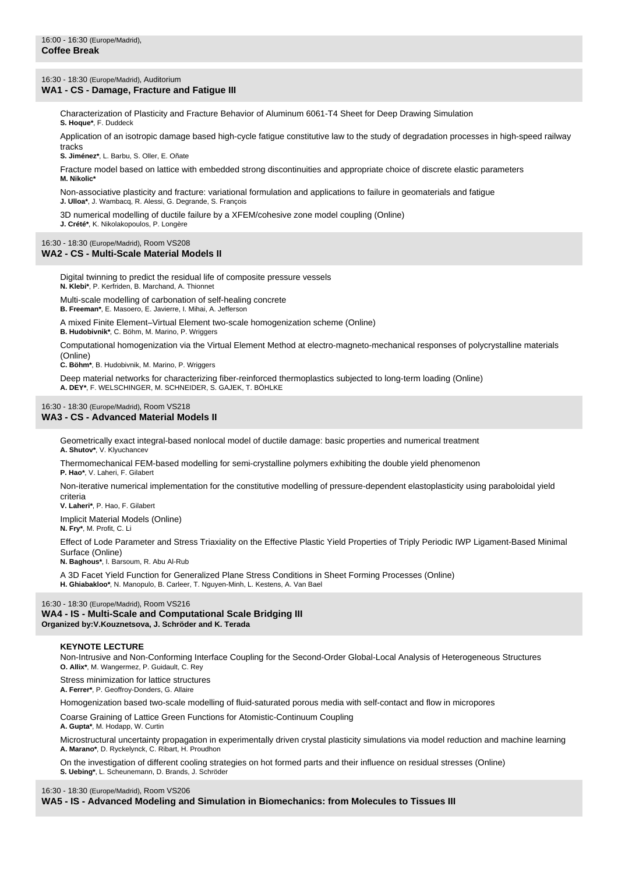16:30 - 18:30 (Europe/Madrid), Auditorium

#### **WA1 - CS - Damage, Fracture and Fatigue III**

Characterization of Plasticity and Fracture Behavior of Aluminum 6061-T4 Sheet for Deep Drawing Simulation **S. Hoque\***, F. Duddeck

Application of an isotropic damage based high-cycle fatigue constitutive law to the study of degradation processes in high-speed railway tracks

**S. Jiménez\***, L. Barbu, S. Oller, E. Oñate

Fracture model based on lattice with embedded strong discontinuities and appropriate choice of discrete elastic parameters **M. Nikolic\***

Non-associative plasticity and fracture: variational formulation and applications to failure in geomaterials and fatigue **J. Ulloa\***, J. Wambacq, R. Alessi, G. Degrande, S. François

3D numerical modelling of ductile failure by a XFEM/cohesive zone model coupling (Online)

**J. Crété\***, K. Nikolakopoulos, P. Longère

## 16:30 - 18:30 (Europe/Madrid), Room VS208 **WA2 - CS - Multi-Scale Material Models II**

Digital twinning to predict the residual life of composite pressure vessels **N. Klebi\***, P. Kerfriden, B. Marchand, A. Thionnet

Multi-scale modelling of carbonation of self-healing concrete **B. Freeman\***, E. Masoero, E. Javierre, I. Mihai, A. Jefferson

A mixed Finite Element–Virtual Element two-scale homogenization scheme (Online)

**B. Hudobivnik\***, C. Böhm, M. Marino, P. Wriggers

Computational homogenization via the Virtual Element Method at electro-magneto-mechanical responses of polycrystalline materials (Online)

**C. Böhm\***, B. Hudobivnik, M. Marino, P. Wriggers

Deep material networks for characterizing fiber-reinforced thermoplastics subjected to long-term loading (Online) **A. DEY\***, F. WELSCHINGER, M. SCHNEIDER, S. GAJEK, T. BÖHLKE

#### 16:30 - 18:30 (Europe/Madrid), Room VS218 **WA3 - CS - Advanced Material Models II**

Geometrically exact integral-based nonlocal model of ductile damage: basic properties and numerical treatment **A. Shutov\***, V. Klyuchancev

Thermomechanical FEM-based modelling for semi-crystalline polymers exhibiting the double yield phenomenon **P. Hao\***, V. Laheri, F. Gilabert

Non-iterative numerical implementation for the constitutive modelling of pressure-dependent elastoplasticity using paraboloidal yield criteria

**V. Laheri\***, P. Hao, F. Gilabert

Implicit Material Models (Online)

**N. Fry\***, M. Profit, C. Li

Effect of Lode Parameter and Stress Triaxiality on the Effective Plastic Yield Properties of Triply Periodic IWP Ligament-Based Minimal Surface (Online)

**N. Baghous\***, I. Barsoum, R. Abu Al-Rub

A 3D Facet Yield Function for Generalized Plane Stress Conditions in Sheet Forming Processes (Online) **H. Ghiabakloo\***, N. Manopulo, B. Carleer, T. Nguyen-Minh, L. Kestens, A. Van Bael

#### 16:30 - 18:30 (Europe/Madrid), Room VS216

**WA4 - IS - Multi-Scale and Computational Scale Bridging III Organized by:V.Kouznetsova, J. Schröder and K. Terada**

#### **KEYNOTE LECTURE**

Non-Intrusive and Non-Conforming Interface Coupling for the Second-Order Global-Local Analysis of Heterogeneous Structures **O. Allix\***, M. Wangermez, P. Guidault, C. Rey

Stress minimization for lattice structures **A. Ferrer\***, P. Geoffroy-Donders, G. Allaire

zation based two-scale modelling of fluid-saturated porous media with self-contact and flow in micropores

Coarse Graining of Lattice Green Functions for Atomistic-Continuum Coupling

**A. Gupta\***, M. Hodapp, W. Curtin

Microstructural uncertainty propagation in experimentally driven crystal plasticity simulations via model reduction and machine learning **A. Marano\***, D. Ryckelynck, C. Ribart, H. Proudhon

On the investigation of different cooling strategies on hot formed parts and their influence on residual stresses (Online) **S. Uebing\***, L. Scheunemann, D. Brands, J. Schröder

#### 16:30 - 18:30 (Europe/Madrid), Room VS206

**WA5 - IS - Advanced Modeling and Simulation in Biomechanics: from Molecules to Tissues III**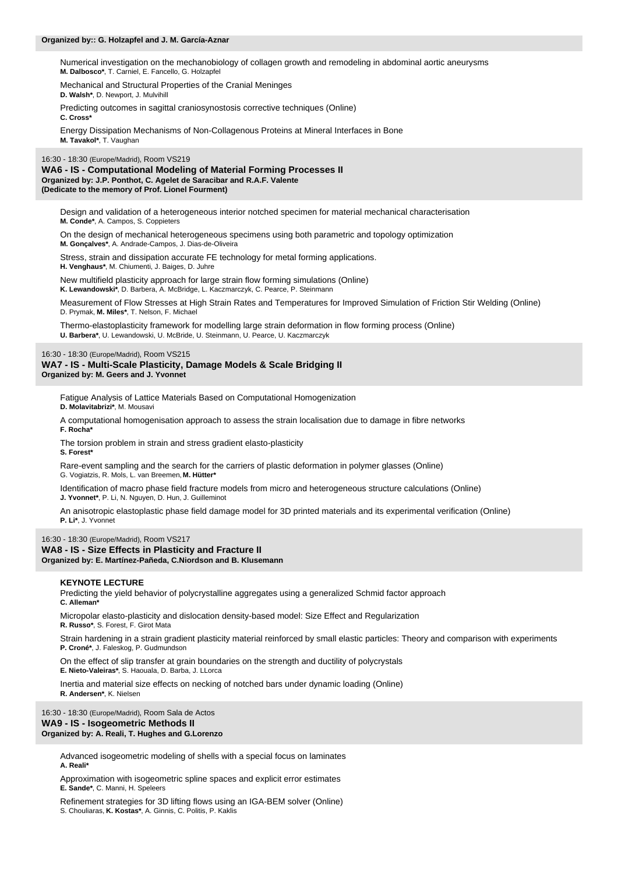#### **Organized by:: G. Holzapfel and J. M. García-Aznar**

Numerical investigation on the mechanobiology of collagen growth and remodeling in abdominal aortic aneurysms **M. Dalbosco\***, T. Carniel, E. Fancello, G. Holzapfel

Mechanical and Structural Properties of the Cranial Meninges **D. Walsh\***, D. Newport, J. Mulvihill

Predicting outcomes in sagittal craniosynostosis corrective techniques (Online) **C. Cross\***

Energy Dissipation Mechanisms of Non-Collagenous Proteins at Mineral Interfaces in Bone **M. Tavakol\***, T. Vaughan

16:30 - 18:30 (Europe/Madrid), Room VS219

**WA6 - IS - Computational Modeling of Material Forming Processes II Organized by: J.P. Ponthot, C. Agelet de Saracibar and R.A.F. Valente (Dedicate to the memory of Prof. Lionel Fourment)**

Design and validation of a heterogeneous interior notched specimen for material mechanical characterisation **M. Conde\***, A. Campos, S. Coppieters

On the design of mechanical heterogeneous specimens using both parametric and topology optimization **M. Gonçalves\***, A. Andrade-Campos, J. Dias-de-Oliveira

Stress, strain and dissipation accurate FE technology for metal forming applications. **H. Venghaus\***, M. Chiumenti, J. Baiges, D. Juhre

New multifield plasticity approach for large strain flow forming simulations (Online) **K. Lewandowski\***, D. Barbera, A. McBridge, L. Kaczmarczyk, C. Pearce, P. Steinmann

Measurement of Flow Stresses at High Strain Rates and Temperatures for Improved Simulation of Friction Stir Welding (Online) D. Prymak, **M. Miles\***, T. Nelson, F. Michael

Thermo-elastoplasticity framework for modelling large strain deformation in flow forming process (Online) **U. Barbera\***, U. Lewandowski, U. McBride, U. Steinmann, U. Pearce, U. Kaczmarczyk

#### 16:30 - 18:30 (Europe/Madrid), Room VS215

**WA7 - IS - Multi-Scale Plasticity, Damage Models & Scale Bridging II Organized by: M. Geers and J. Yvonnet**

Fatigue Analysis of Lattice Materials Based on Computational Homogenization

**D. Molavitabrizi\***, M. Mousavi

A computational homogenisation approach to assess the strain localisation due to damage in fibre networks **F. Rocha\***

The torsion problem in strain and stress gradient elasto-plasticity **S. Forest\***

Rare-event sampling and the search for the carriers of plastic deformation in polymer glasses (Online) G. Vogiatzis, R. Mols, L. van Breemen, **M. Hütter\***

Identification of macro phase field fracture models from micro and heterogeneous structure calculations (Online) **J. Yvonnet\***, P. Li, N. Nguyen, D. Hun, J. Guilleminot

An anisotropic elastoplastic phase field damage model for 3D printed materials and its experimental verification (Online) **P. Li\***, J. Yvonnet

## 16:30 - 18:30 (Europe/Madrid), Room VS217 **WA8 - IS - Size Effects in Plasticity and Fracture II**

## **Organized by: E. Martínez-Pañeda, C.Niordson and B. Klusemann**

#### **KEYNOTE LECTURE**

Predicting the yield behavior of polycrystalline aggregates using a generalized Schmid factor approach **C. Alleman\***

Micropolar elasto-plasticity and dislocation density-based model: Size Effect and Regularization **R. Russo\***, S. Forest, F. Girot Mata

Strain hardening in a strain gradient plasticity material reinforced by small elastic particles: Theory and comparison with experiments **P. Croné\***, J. Faleskog, P. Gudmundson

On the effect of slip transfer at grain boundaries on the strength and ductility of polycrystals **E. Nieto-Valeiras\***, S. Haouala, D. Barba, J. LLorca

Inertia and material size effects on necking of notched bars under dynamic loading (Online) **R. Andersen\***, K. Nielsen

16:30 - 18:30 (Europe/Madrid), Room Sala de Actos **WA9 - IS - Isogeometric Methods II Organized by: A. Reali, T. Hughes and G.Lorenzo**

> Advanced isogeometric modeling of shells with a special focus on laminates **A. Reali\***

Approximation with isogeometric spline spaces and explicit error estimates **E. Sande\***, C. Manni, H. Speleers

Refinement strategies for 3D lifting flows using an IGA-BEM solver (Online) S. Chouliaras, **K. Kostas\***, A. Ginnis, C. Politis, P. Kaklis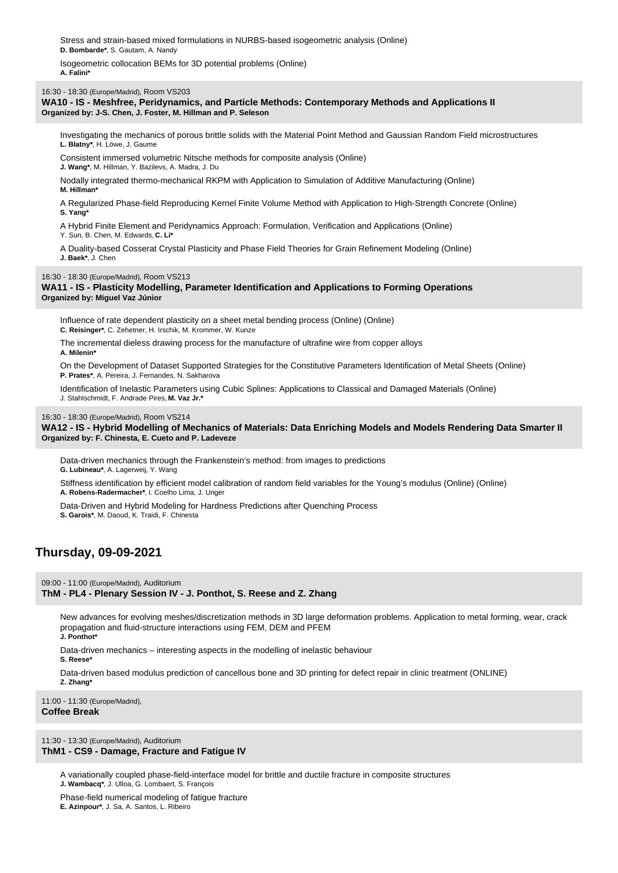Stress and strain-based mixed formulations in NURBS-based isogeometric analysis (Online) **D. Bombarde\***, S. Gautam, A. Nandy

Isogeometric collocation BEMs for 3D potential problems (Online) **A. Falini\***

16:30 - 18:30 (Europe/Madrid), Room VS203

**WA10 - IS - Meshfree, Peridynamics, and Particle Methods: Contemporary Methods and Applications II Organized by: J-S. Chen, J. Foster, M. Hillman and P. Seleson**

Investigating the mechanics of porous brittle solids with the Material Point Method and Gaussian Random Field microstructures **L. Blatny\***, H. Löwe, J. Gaume

Consistent immersed volumetric Nitsche methods for composite analysis (Online) **J. Wang\***, M. Hillman, Y. Bazilevs, A. Madra, J. Du

Nodally integrated thermo-mechanical RKPM with Application to Simulation of Additive Manufacturing (Online) **M. Hillman\***

A Regularized Phase-field Reproducing Kernel Finite Volume Method with Application to High-Strength Concrete (Online) **S. Yang\***

A Hybrid Finite Element and Peridynamics Approach: Formulation, Verification and Applications (Online) Y. Sun, B. Chen, M. Edwards, **C. Li\***

A Duality-based Cosserat Crystal Plasticity and Phase Field Theories for Grain Refinement Modeling (Online) **J. Baek\***, J. Chen

16:30 - 18:30 (Europe/Madrid), Room VS213

**WA11 - IS - Plasticity Modelling, Parameter Identification and Applications to Forming Operations Organized by: Miguel Vaz Júnior**

Influence of rate dependent plasticity on a sheet metal bending process (Online) (Online)

**C. Reisinger\***, C. Zehetner, H. Irschik, M. Krommer, W. Kunze

The incremental dieless drawing process for the manufacture of ultrafine wire from copper alloys **A. Milenin\***

On the Development of Dataset Supported Strategies for the Constitutive Parameters Identification of Metal Sheets (Online) **P. Prates\***, A. Pereira, J. Fernandes, N. Sakharova

Identification of Inelastic Parameters using Cubic Splines: Applications to Classical and Damaged Materials (Online) J. Stahlschmidt, F. Andrade Pires, **M. Vaz Jr.\***

#### 16:30 - 18:30 (Europe/Madrid), Room VS214

**WA12 - IS - Hybrid Modelling of Mechanics of Materials: Data Enriching Models and Models Rendering Data Smarter II Organized by: F. Chinesta, E. Cueto and P. Ladeveze**

Data-driven mechanics through the Frankenstein's method: from images to predictions **G. Lubineau\***, A. Lagerweij, Y. Wang

Stiffness identification by efficient model calibration of random field variables for the Young's modulus (Online) (Online) **A. Robens-Radermacher\***, I. Coelho Lima, J. Unger

Data-Driven and Hybrid Modeling for Hardness Predictions after Quenching Process **S. Garois\***, M. Daoud, K. Traidi, F. Chinesta

# **Thursday, 09-09-2021**

09:00 - 11:00 (Europe/Madrid), Auditorium

**ThM - PL4 - Plenary Session IV - J. Ponthot, S. Reese and Z. Zhang**

New advances for evolving meshes/discretization methods in 3D large deformation problems. Application to metal forming, wear, crack propagation and fluid-structure interactions using FEM, DEM and PFEM **J. Ponthot\***

Data-driven mechanics – interesting aspects in the modelling of inelastic behaviour

**S. Reese\***

Data-driven based modulus prediction of cancellous bone and 3D printing for defect repair in clinic treatment (ONLINE)

**Z. Zhang\***

11:00 - 11:30 (Europe/Madrid), **Coffee Break**

11:30 - 13:30 (Europe/Madrid), Auditorium **ThM1 - CS9 - Damage, Fracture and Fatigue IV**

A variationally coupled phase-field-interface model for brittle and ductile fracture in composite structures **J. Wambacq\***, J. Ulloa, G. Lombaert, S. François

Phase-field numerical modeling of fatigue fracture **E. Azinpour\***, J. Sa, A. Santos, L. Ribeiro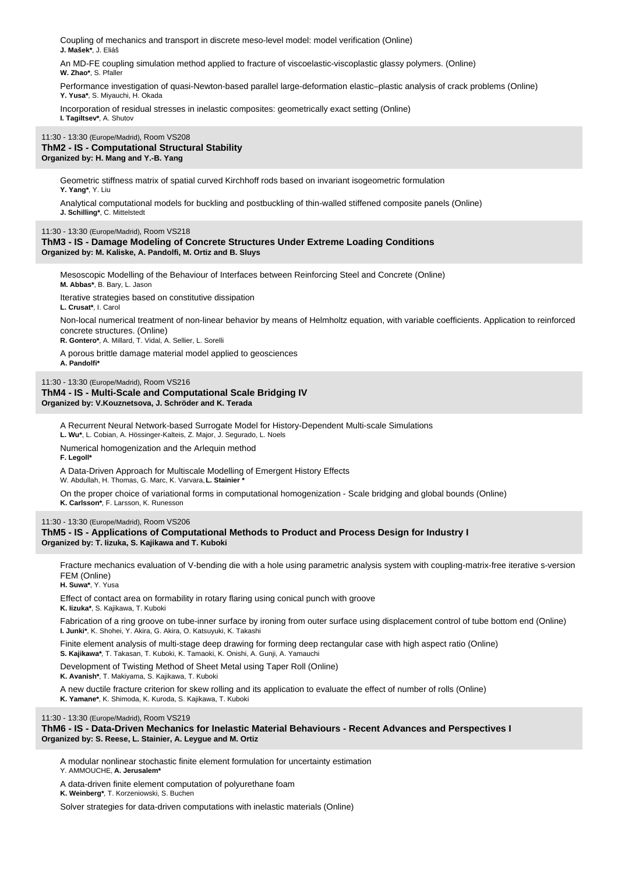Coupling of mechanics and transport in discrete meso-level model: model verification (Online) **J. Mašek\***, J. Eliáš

An MD-FE coupling simulation method applied to fracture of viscoelastic-viscoplastic glassy polymers. (Online) **W. Zhao\***, S. Pfaller

Performance investigation of quasi-Newton-based parallel large-deformation elastic–plastic analysis of crack problems (Online) **Y. Yusa\***, S. Miyauchi, H. Okada

Incorporation of residual stresses in inelastic composites: geometrically exact setting (Online) **I. Tagiltsev\***, A. Shutov

## 11:30 - 13:30 (Europe/Madrid), Room VS208 **ThM2 - IS - Computational Structural Stability Organized by: H. Mang and Y.-B. Yang**

Geometric stiffness matrix of spatial curved Kirchhoff rods based on invariant isogeometric formulation **Y. Yang\***, Y. Liu

Analytical computational models for buckling and postbuckling of thin-walled stiffened composite panels (Online) **J. Schilling\***, C. Mittelstedt

11:30 - 13:30 (Europe/Madrid), Room VS218

## **ThM3 - IS - Damage Modeling of Concrete Structures Under Extreme Loading Conditions Organized by: M. Kaliske, A. Pandolfi, M. Ortiz and B. Sluys**

Mesoscopic Modelling of the Behaviour of Interfaces between Reinforcing Steel and Concrete (Online) **M. Abbas\***, B. Bary, L. Jason

Iterative strategies based on constitutive dissipation **L. Crusat\***, I. Carol

Non-local numerical treatment of non-linear behavior by means of Helmholtz equation, with variable coefficients. Application to reinforced concrete structures. (Online)

**R. Gontero\***, A. Millard, T. Vidal, A. Sellier, L. Sorelli

A porous brittle damage material model applied to geosciences **A. Pandolfi\***

11:30 - 13:30 (Europe/Madrid), Room VS216

## **ThM4 - IS - Multi-Scale and Computational Scale Bridging IV Organized by: V.Kouznetsova, J. Schröder and K. Terada**

A Recurrent Neural Network-based Surrogate Model for History-Dependent Multi-scale Simulations

**L. Wu\***, L. Cobian, A. Hössinger-Kalteis, Z. Major, J. Segurado, L. Noels

Numerical homogenization and the Arlequin method

**F. Legoll\***

A Data-Driven Approach for Multiscale Modelling of Emergent History Effects

W. Abdullah, H. Thomas, G. Marc, K. Varvara, **L. Stainier \***

On the proper choice of variational forms in computational homogenization - Scale bridging and global bounds (Online) **K. Carlsson\***, F. Larsson, K. Runesson

## 11:30 - 13:30 (Europe/Madrid), Room VS206

**ThM5 - IS - Applications of Computational Methods to Product and Process Design for Industry I Organized by: T. Iizuka, S. Kajikawa and T. Kuboki**

Fracture mechanics evaluation of V-bending die with a hole using parametric analysis system with coupling-matrix-free iterative s-version FEM (Online)

**H. Suwa\***, Y. Yusa

Effect of contact area on formability in rotary flaring using conical punch with groove **K. Iizuka\***, S. Kajikawa, T. Kuboki

Fabrication of a ring groove on tube-inner surface by ironing from outer surface using displacement control of tube bottom end (Online) **I. Junki\***, K. Shohei, Y. Akira, G. Akira, O. Katsuyuki, K. Takashi

Finite element analysis of multi-stage deep drawing for forming deep rectangular case with high aspect ratio (Online) **S. Kajikawa\***, T. Takasan, T. Kuboki, K. Tamaoki, K. Onishi, A. Gunji, A. Yamauchi

Development of Twisting Method of Sheet Metal using Taper Roll (Online)

**K. Avanish\***, T. Makiyama, S. Kajikawa, T. Kuboki

A new ductile fracture criterion for skew rolling and its application to evaluate the effect of number of rolls (Online)

**K. Yamane\***, K. Shimoda, K. Kuroda, S. Kajikawa, T. Kuboki

#### 11:30 - 13:30 (Europe/Madrid), Room VS219

## **ThM6 - IS - Data-Driven Mechanics for Inelastic Material Behaviours - Recent Advances and Perspectives I Organized by: S. Reese, L. Stainier, A. Leygue and M. Ortiz**

A modular nonlinear stochastic finite element formulation for uncertainty estimation

Y. AMMOUCHE, **A. Jerusalem\***

A data-driven finite element computation of polyurethane foam

**K. Weinberg\***, T. Korzeniowski, S. Buchen

Solver strategies for data-driven computations with inelastic materials (Online)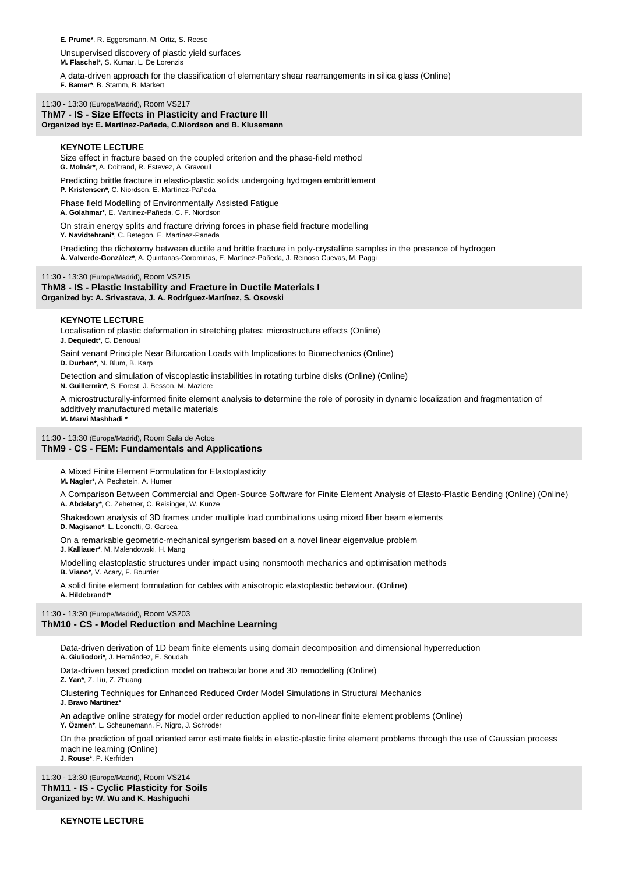**E. Prume\***, R. Eggersmann, M. Ortiz, S. Reese

Unsupervised discovery of plastic yield surfaces **M. Flaschel\***, S. Kumar, L. De Lorenzis

A data-driven approach for the classification of elementary shear rearrangements in silica glass (Online)

**F. Bamer\***, B. Stamm, B. Markert

#### 11:30 - 13:30 (Europe/Madrid), Room VS217 **ThM7 - IS - Size Effects in Plasticity and Fracture III Organized by: E. Martínez-Pañeda, C.Niordson and B. Klusemann**

#### **KEYNOTE LECTURE**

Size effect in fracture based on the coupled criterion and the phase-field method **G. Molnár\***, A. Doitrand, R. Estevez, A. Gravouil

Predicting brittle fracture in elastic-plastic solids undergoing hydrogen embrittlement

**P. Kristensen\***, C. Niordson, E. Martínez-Pañeda

Phase field Modelling of Environmentally Assisted Fatigue **A. Golahmar\***, E. Martínez-Pañeda, C. F. Niordson

On strain energy splits and fracture driving forces in phase field fracture modelling **Y. Navidtehrani\***, C. Betegon, E. Martinez-Paneda

Predicting the dichotomy between ductile and brittle fracture in poly-crystalline samples in the presence of hydrogen **Á. Valverde-González\***, A. Quintanas-Corominas, E. Martínez-Pañeda, J. Reinoso Cuevas, M. Paggi

#### 11:30 - 13:30 (Europe/Madrid), Room VS215

**ThM8 - IS - Plastic Instability and Fracture in Ductile Materials I Organized by: A. Srivastava, J. A. Rodríguez-Martínez, S. Osovski**

#### **KEYNOTE LECTURE**

Localisation of plastic deformation in stretching plates: microstructure effects (Online) **J. Dequiedt\***, C. Denoual

Saint venant Principle Near Bifurcation Loads with Implications to Biomechanics (Online) **D. Durban\***, N. Blum, B. Karp

Detection and simulation of viscoplastic instabilities in rotating turbine disks (Online) (Online) **N. Guillermin\***, S. Forest, J. Besson, M. Maziere

A microstructurally-informed finite element analysis to determine the role of porosity in dynamic localization and fragmentation of additively manufactured metallic materials **M. Marvi Mashhadi \***

11:30 - 13:30 (Europe/Madrid), Room Sala de Actos

## **ThM9 - CS - FEM: Fundamentals and Applications**

A Mixed Finite Element Formulation for Elastoplasticity

**M. Nagler\***, A. Pechstein, A. Humer

A Comparison Between Commercial and Open-Source Software for Finite Element Analysis of Elasto-Plastic Bending (Online) (Online) **A. Abdelaty\***, C. Zehetner, C. Reisinger, W. Kunze

Shakedown analysis of 3D frames under multiple load combinations using mixed fiber beam elements **D. Magisano\***, L. Leonetti, G. Garcea

On a remarkable geometric-mechanical syngerism based on a novel linear eigenvalue problem **J. Kalliauer\***, M. Malendowski, H. Mang

Modelling elastoplastic structures under impact using nonsmooth mechanics and optimisation methods **B. Viano\***, V. Acary, F. Bourrier

A solid finite element formulation for cables with anisotropic elastoplastic behaviour. (Online)

**A. Hildebrandt\***

11:30 - 13:30 (Europe/Madrid), Room VS203

## **ThM10 - CS - Model Reduction and Machine Learning**

Data-driven derivation of 1D beam finite elements using domain decomposition and dimensional hyperreduction

**A. Giuliodori\***, J. Hernández, E. Soudah

Data-driven based prediction model on trabecular bone and 3D remodelling (Online) **Z. Yan\***, Z. Liu, Z. Zhuang

Clustering Techniques for Enhanced Reduced Order Model Simulations in Structural Mechanics **J. Bravo Martinez\***

An adaptive online strategy for model order reduction applied to non-linear finite element problems (Online) **Y. Özmen\***, L. Scheunemann, P. Nigro, J. Schröder

On the prediction of goal oriented error estimate fields in elastic-plastic finite element problems through the use of Gaussian process machine learning (Online) **J. Rouse\***, P. Kerfriden

11:30 - 13:30 (Europe/Madrid), Room VS214 **ThM11 - IS - Cyclic Plasticity for Soils Organized by: W. Wu and K. Hashiguchi**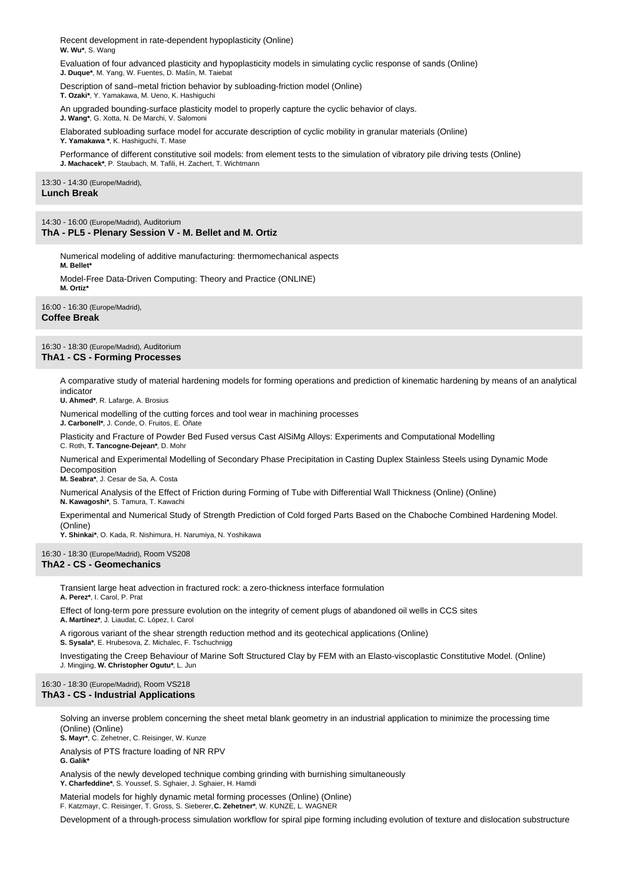Recent development in rate-dependent hypoplasticity (Online) **W. Wu\***, S. Wang

Evaluation of four advanced plasticity and hypoplasticity models in simulating cyclic response of sands (Online) **J. Duque\***, M. Yang, W. Fuentes, D. Mašín, M. Taiebat

Description of sand–metal friction behavior by subloading-friction model (Online) **T. Ozaki\***, Y. Yamakawa, M. Ueno, K. Hashiguchi

An upgraded bounding-surface plasticity model to properly capture the cyclic behavior of clays.

**J. Wang\***, G. Xotta, N. De Marchi, V. Salomoni

Elaborated subloading surface model for accurate description of cyclic mobility in granular materials (Online) **Y. Yamakawa \***, K. Hashiguchi, T. Mase

Performance of different constitutive soil models: from element tests to the simulation of vibratory pile driving tests (Online) **J. Machacek\***, P. Staubach, M. Tafili, H. Zachert, T. Wichtmann

13:30 - 14:30 (Europe/Madrid), **Lunch Break**

14:30 - 16:00 (Europe/Madrid), Auditorium **ThA - PL5 - Plenary Session V - M. Bellet and M. Ortiz**

Numerical modeling of additive manufacturing: thermomechanical aspects **M. Bellet\***

Model-Free Data-Driven Computing: Theory and Practice (ONLINE) **M. Ortiz\***

16:00 - 16:30 (Europe/Madrid), **Coffee Break**

## 16:30 - 18:30 (Europe/Madrid), Auditorium **ThA1 - CS - Forming Processes**

A comparative study of material hardening models for forming operations and prediction of kinematic hardening by means of an analytical indicator

**U. Ahmed\***, R. Lafarge, A. Brosius

Numerical modelling of the cutting forces and tool wear in machining processes

**J. Carbonell\***, J. Conde, O. Fruitos, E. Oñate

Plasticity and Fracture of Powder Bed Fused versus Cast AlSiMg Alloys: Experiments and Computational Modelling C. Roth, **T. Tancogne-Dejean\***, D. Mohr

Numerical and Experimental Modelling of Secondary Phase Precipitation in Casting Duplex Stainless Steels using Dynamic Mode Decomposition

**M. Seabra\***, J. Cesar de Sa, A. Costa

Numerical Analysis of the Effect of Friction during Forming of Tube with Differential Wall Thickness (Online) (Online)

**N. Kawagoshi\***, S. Tamura, T. Kawachi

Experimental and Numerical Study of Strength Prediction of Cold forged Parts Based on the Chaboche Combined Hardening Model. (Online)

**Y. Shinkai\***, O. Kada, R. Nishimura, H. Narumiya, N. Yoshikawa

16:30 - 18:30 (Europe/Madrid), Room VS208 **ThA2 - CS - Geomechanics**

> Transient large heat advection in fractured rock: a zero-thickness interface formulation **A. Perez\***, I. Carol, P. Prat

Effect of long-term pore pressure evolution on the integrity of cement plugs of abandoned oil wells in CCS sites **A. Martínez\***, J. Liaudat, C. López, I. Carol

A rigorous variant of the shear strength reduction method and its geotechical applications (Online)

**S. Sysala\***, E. Hrubesova, Z. Michalec, F. Tschuchnigg

Investigating the Creep Behaviour of Marine Soft Structured Clay by FEM with an Elasto-viscoplastic Constitutive Model. (Online) J. Mingjing, **W. Christopher Ogutu\***, L. Jun

## 16:30 - 18:30 (Europe/Madrid), Room VS218 **ThA3 - CS - Industrial Applications**

Solving an inverse problem concerning the sheet metal blank geometry in an industrial application to minimize the processing time (Online) (Online)

**S. Mayr\***, C. Zehetner, C. Reisinger, W. Kunze

Analysis of PTS fracture loading of NR RPV **G. Galik\***

Analysis of the newly developed technique combing grinding with burnishing simultaneously Y. Charfeddine\*, S. Youssef, S. Sghaier, J. Sghaier, H. Hamd

Material models for highly dynamic metal forming processes (Online) (Online)

F. Katzmayr, C. Reisinger, T. Gross, S. Sieberer, **C. Zehetner\***, W. KUNZE, L. WAGNER

Development of a through-process simulation workflow for spiral pipe forming including evolution of texture and dislocation substructure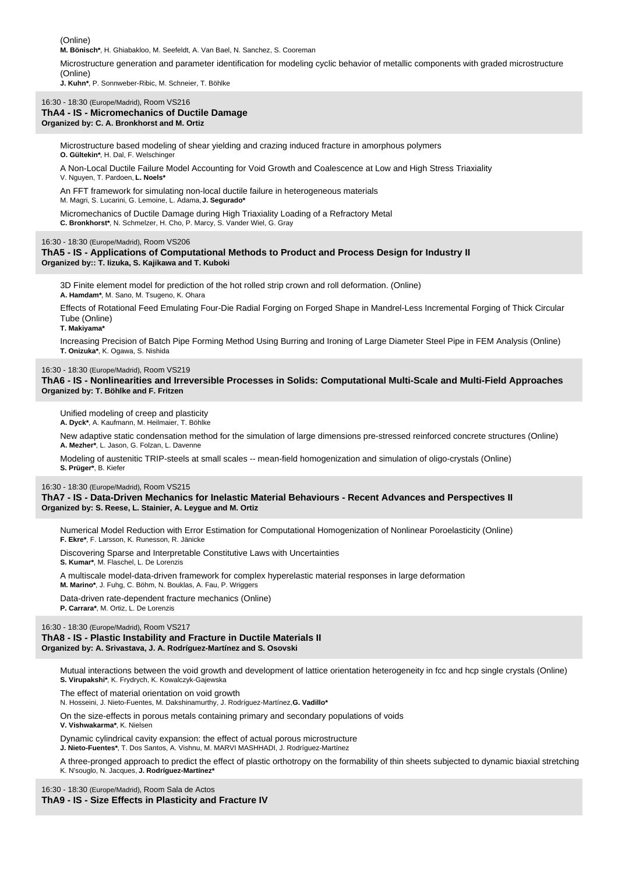(Online)

**M. Bönisch\***, H. Ghiabakloo, M. Seefeldt, A. Van Bael, N. Sanchez, S. Cooreman

Microstructure generation and parameter identification for modeling cyclic behavior of metallic components with graded microstructure (Online)

**J. Kuhn\***, P. Sonnweber-Ribic, M. Schneier, T. Böhlke

### 16:30 - 18:30 (Europe/Madrid), Room VS216

#### **ThA4 - IS - Micromechanics of Ductile Damage Organized by: C. A. Bronkhorst and M. Ortiz**

Microstructure based modeling of shear yielding and crazing induced fracture in amorphous polymers **O. Gültekin\***, H. Dal, F. Welschinger

A Non-Local Ductile Failure Model Accounting for Void Growth and Coalescence at Low and High Stress Triaxiality V. Nguyen, T. Pardoen, **L. Noels\***

An FFT framework for simulating non-local ductile failure in heterogeneous materials M. Magri, S. Lucarini, G. Lemoine, L. Adama, **J. Segurado\***

Micromechanics of Ductile Damage during High Triaxiality Loading of a Refractory Metal **C. Bronkhorst\***, N. Schmelzer, H. Cho, P. Marcy, S. Vander Wiel, G. Gray

#### 16:30 - 18:30 (Europe/Madrid), Room VS206

#### **ThA5 - IS - Applications of Computational Methods to Product and Process Design for Industry II Organized by:: T. Iizuka, S. Kajikawa and T. Kuboki**

3D Finite element model for prediction of the hot rolled strip crown and roll deformation. (Online) **A. Hamdam\***, M. Sano, M. Tsugeno, K. Ohara

Effects of Rotational Feed Emulating Four-Die Radial Forging on Forged Shape in Mandrel-Less Incremental Forging of Thick Circular Tube (Online)

**T. Makiyama\***

Increasing Precision of Batch Pipe Forming Method Using Burring and Ironing of Large Diameter Steel Pipe in FEM Analysis (Online) **T. Onizuka\***, K. Ogawa, S. Nishida

#### 16:30 - 18:30 (Europe/Madrid), Room VS219

**ThA6 - IS - Nonlinearities and Irreversible Processes in Solids: Computational Multi-Scale and Multi-Field Approaches Organized by: T. Böhlke and F. Fritzen** 

Unified modeling of creep and plasticity **A. Dyck\***, A. Kaufmann, M. Heilmaier, T. Böhlke

New adaptive static condensation method for the simulation of large dimensions pre-stressed reinforced concrete structures (Online) **A. Mezher\***, L. Jason, G. Folzan, L. Davenne

Modeling of austenitic TRIP-steels at small scales -- mean-field homogenization and simulation of oligo-crystals (Online) **S. Prüger\***, B. Kiefer

16:30 - 18:30 (Europe/Madrid), Room VS215

**ThA7 - IS - Data-Driven Mechanics for Inelastic Material Behaviours - Recent Advances and Perspectives II Organized by: S. Reese, L. Stainier, A. Leygue and M. Ortiz**

Numerical Model Reduction with Error Estimation for Computational Homogenization of Nonlinear Poroelasticity (Online) **F. Ekre\***, F. Larsson, K. Runesson, R. Jänicke

Discovering Sparse and Interpretable Constitutive Laws with Uncertainties **S. Kumar\***, M. Flaschel, L. De Lorenzis

A multiscale model-data-driven framework for complex hyperelastic material responses in large deformation **M. Marino\***, J. Fuhg, C. Böhm, N. Bouklas, A. Fau, P. Wriggers

Data-driven rate-dependent fracture mechanics (Online) **P. Carrara\***, M. Ortiz, L. De Lorenzis

#### 16:30 - 18:30 (Europe/Madrid), Room VS217

#### **ThA8 - IS - Plastic Instability and Fracture in Ductile Materials II Organized by: A. Srivastava, J. A. Rodríguez-Martínez and S. Osovski**

Mutual interactions between the void growth and development of lattice orientation heterogeneity in fcc and hcp single crystals (Online) **S. Virupakshi\***, K. Frydrych, K. Kowalczyk-Gajewska

The effect of material orientation on void growth

N. Hosseini, J. Nieto-Fuentes, M. Dakshinamurthy, J. Rodríguez-Martínez, **G. Vadillo\***

On the size-effects in porous metals containing primary and secondary populations of voids **V. Vishwakarma\***, K. Nielsen

Dynamic cylindrical cavity expansion: the effect of actual porous microstructure **J. Nieto-Fuentes\***, T. Dos Santos, A. Vishnu, M. MARVI MASHHADI, J. Rodríguez-Martínez

A three-pronged approach to predict the effect of plastic orthotropy on the formability of thin sheets subjected to dynamic biaxial stretching K. N'souglo, N. Jacques, **J. Rodríguez-Martínez\***

16:30 - 18:30 (Europe/Madrid), Room Sala de Actos

## **ThA9 - IS - Size Effects in Plasticity and Fracture IV**